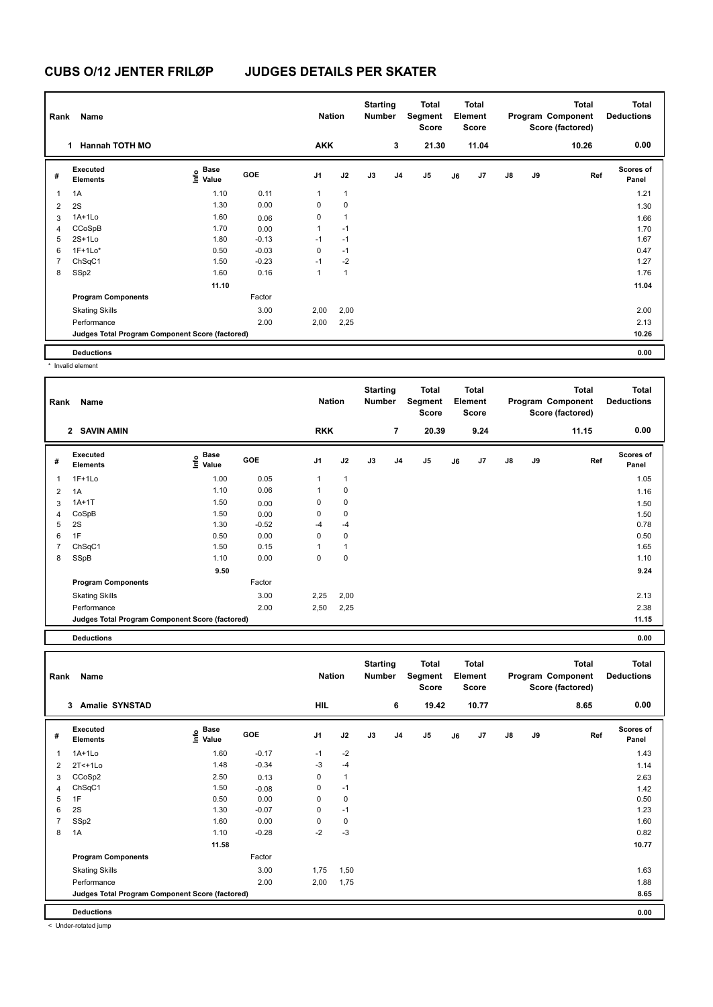| Rank           | Name                                            |                                  |         | <b>Nation</b>  |              | <b>Starting</b><br><b>Number</b> |                | <b>Total</b><br>Segment<br><b>Score</b> |    | Total<br>Element<br><b>Score</b> |               |    | Total<br>Program Component<br>Score (factored) | <b>Total</b><br><b>Deductions</b> |
|----------------|-------------------------------------------------|----------------------------------|---------|----------------|--------------|----------------------------------|----------------|-----------------------------------------|----|----------------------------------|---------------|----|------------------------------------------------|-----------------------------------|
|                | <b>Hannah TOTH MO</b><br>1.                     |                                  |         | <b>AKK</b>     |              |                                  | 3              | 21.30                                   |    | 11.04                            |               |    | 10.26                                          | 0.00                              |
| #              | Executed<br><b>Elements</b>                     | <b>Base</b><br>o Base<br>⊆ Value | GOE     | J <sub>1</sub> | J2           | J3                               | J <sub>4</sub> | J5                                      | J6 | J <sub>7</sub>                   | $\mathsf{J}8$ | J9 | Ref                                            | <b>Scores of</b><br>Panel         |
| 1              | 1A                                              | 1.10                             | 0.11    | $\mathbf{1}$   | $\mathbf{1}$ |                                  |                |                                         |    |                                  |               |    |                                                | 1.21                              |
| $\overline{2}$ | 2S                                              | 1.30                             | 0.00    | 0              | $\mathbf 0$  |                                  |                |                                         |    |                                  |               |    |                                                | 1.30                              |
| 3              | 1A+1Lo                                          | 1.60                             | 0.06    | 0              | $\mathbf{1}$ |                                  |                |                                         |    |                                  |               |    |                                                | 1.66                              |
| 4              | CCoSpB                                          | 1.70                             | 0.00    | 1              | $-1$         |                                  |                |                                         |    |                                  |               |    |                                                | 1.70                              |
| 5              | $2S+1Lo$                                        | 1.80                             | $-0.13$ | $-1$           | $-1$         |                                  |                |                                         |    |                                  |               |    |                                                | 1.67                              |
| 6              | $1F+1Lo*$                                       | 0.50                             | $-0.03$ | 0              | $-1$         |                                  |                |                                         |    |                                  |               |    |                                                | 0.47                              |
| $\overline{7}$ | ChSqC1                                          | 1.50                             | $-0.23$ | $-1$           | $-2$         |                                  |                |                                         |    |                                  |               |    |                                                | 1.27                              |
| 8              | SSp2                                            | 1.60                             | 0.16    | 1              | $\mathbf{1}$ |                                  |                |                                         |    |                                  |               |    |                                                | 1.76                              |
|                |                                                 | 11.10                            |         |                |              |                                  |                |                                         |    |                                  |               |    |                                                | 11.04                             |
|                | <b>Program Components</b>                       |                                  | Factor  |                |              |                                  |                |                                         |    |                                  |               |    |                                                |                                   |
|                | <b>Skating Skills</b>                           |                                  | 3.00    | 2,00           | 2,00         |                                  |                |                                         |    |                                  |               |    |                                                | 2.00                              |
|                | Performance                                     |                                  | 2.00    | 2,00           | 2,25         |                                  |                |                                         |    |                                  |               |    |                                                | 2.13                              |
|                | Judges Total Program Component Score (factored) |                                  |         |                |              |                                  |                |                                         |    |                                  |               |    |                                                | 10.26                             |
|                | <b>Deductions</b>                               |                                  |         |                |              |                                  |                |                                         |    |                                  |               |    |                                                | 0.00                              |

\* Invalid element

| Rank | Name                                            |                                  |            | <b>Nation</b>  |              | <b>Starting</b><br><b>Number</b> |                | <b>Total</b><br>Segment<br><b>Score</b> |    | <b>Total</b><br>Element<br><b>Score</b> |               |    | <b>Total</b><br>Program Component<br>Score (factored) | Total<br><b>Deductions</b> |
|------|-------------------------------------------------|----------------------------------|------------|----------------|--------------|----------------------------------|----------------|-----------------------------------------|----|-----------------------------------------|---------------|----|-------------------------------------------------------|----------------------------|
|      | 2 SAVIN AMIN                                    |                                  |            | <b>RKK</b>     |              |                                  | $\overline{7}$ | 20.39                                   |    | 9.24                                    |               |    | 11.15                                                 | 0.00                       |
| #    | Executed<br><b>Elements</b>                     | <b>Base</b><br>e Base<br>⊆ Value | <b>GOE</b> | J <sub>1</sub> | J2           | J3                               | J <sub>4</sub> | J5                                      | J6 | J7                                      | $\mathsf{J}8$ | J9 | Ref                                                   | <b>Scores of</b><br>Panel  |
| 1    | $1F+1Lo$                                        | 1.00                             | 0.05       | 1              | $\mathbf{1}$ |                                  |                |                                         |    |                                         |               |    |                                                       | 1.05                       |
| 2    | 1A                                              | 1.10                             | 0.06       | 1              | $\mathbf 0$  |                                  |                |                                         |    |                                         |               |    |                                                       | 1.16                       |
| 3    | $1A+1T$                                         | 1.50                             | 0.00       | 0              | $\pmb{0}$    |                                  |                |                                         |    |                                         |               |    |                                                       | 1.50                       |
| 4    | CoSpB                                           | 1.50                             | 0.00       | 0              | 0            |                                  |                |                                         |    |                                         |               |    |                                                       | 1.50                       |
| 5    | 2S                                              | 1.30                             | $-0.52$    | $-4$           | $-4$         |                                  |                |                                         |    |                                         |               |    |                                                       | 0.78                       |
| 6    | 1F                                              | 0.50                             | 0.00       | 0              | $\pmb{0}$    |                                  |                |                                         |    |                                         |               |    |                                                       | 0.50                       |
| 7    | ChSqC1                                          | 1.50                             | 0.15       |                | $\mathbf{1}$ |                                  |                |                                         |    |                                         |               |    |                                                       | 1.65                       |
| 8    | SSpB                                            | 1.10                             | 0.00       | 0              | $\mathbf 0$  |                                  |                |                                         |    |                                         |               |    |                                                       | 1.10                       |
|      |                                                 | 9.50                             |            |                |              |                                  |                |                                         |    |                                         |               |    |                                                       | 9.24                       |
|      | <b>Program Components</b>                       |                                  | Factor     |                |              |                                  |                |                                         |    |                                         |               |    |                                                       |                            |
|      | <b>Skating Skills</b>                           |                                  | 3.00       | 2,25           | 2,00         |                                  |                |                                         |    |                                         |               |    |                                                       | 2.13                       |
|      | Performance                                     |                                  | 2.00       | 2,50           | 2,25         |                                  |                |                                         |    |                                         |               |    |                                                       | 2.38                       |
|      | Judges Total Program Component Score (factored) |                                  |            |                |              |                                  |                |                                         |    |                                         |               |    |                                                       | 11.15                      |
|      |                                                 |                                  |            |                |              |                                  |                |                                         |    |                                         |               |    |                                                       |                            |

**Deductions 0.00**

| Rank           | Name                                            |                                  |         | <b>Nation</b> |              | <b>Starting</b><br>Number |    | <b>Total</b><br>Segment<br><b>Score</b> |    | <b>Total</b><br>Element<br><b>Score</b> |               |    | Total<br>Program Component<br>Score (factored) | <b>Total</b><br><b>Deductions</b> |
|----------------|-------------------------------------------------|----------------------------------|---------|---------------|--------------|---------------------------|----|-----------------------------------------|----|-----------------------------------------|---------------|----|------------------------------------------------|-----------------------------------|
|                | <b>Amalie SYNSTAD</b><br>3                      |                                  |         | HIL           |              |                           | 6  | 19.42                                   |    | 10.77                                   |               |    | 8.65                                           | 0.00                              |
| #              | Executed<br><b>Elements</b>                     | <b>Base</b><br>o Base<br>⊆ Value | GOE     | J1            | J2           | J3                        | J4 | J <sub>5</sub>                          | J6 | J <sub>7</sub>                          | $\mathsf{J}8$ | J9 | Ref                                            | <b>Scores of</b><br>Panel         |
| $\overline{1}$ | 1A+1Lo                                          | 1.60                             | $-0.17$ | $-1$          | $-2$         |                           |    |                                         |    |                                         |               |    |                                                | 1.43                              |
| $\overline{2}$ | $2T<+1L0$                                       | 1.48                             | $-0.34$ | $-3$          | $-4$         |                           |    |                                         |    |                                         |               |    |                                                | 1.14                              |
| 3              | CCoSp2                                          | 2.50                             | 0.13    | 0             | $\mathbf{1}$ |                           |    |                                         |    |                                         |               |    |                                                | 2.63                              |
| $\overline{4}$ | ChSqC1                                          | 1.50                             | $-0.08$ | 0             | $-1$         |                           |    |                                         |    |                                         |               |    |                                                | 1.42                              |
| 5              | 1F                                              | 0.50                             | 0.00    | 0             | $\pmb{0}$    |                           |    |                                         |    |                                         |               |    |                                                | 0.50                              |
| 6              | 2S                                              | 1.30                             | $-0.07$ | 0             | $-1$         |                           |    |                                         |    |                                         |               |    |                                                | 1.23                              |
| $\overline{7}$ | SSp2                                            | 1.60                             | 0.00    | 0             | $\mathbf 0$  |                           |    |                                         |    |                                         |               |    |                                                | 1.60                              |
| 8              | 1A                                              | 1.10                             | $-0.28$ | $-2$          | $-3$         |                           |    |                                         |    |                                         |               |    |                                                | 0.82                              |
|                |                                                 | 11.58                            |         |               |              |                           |    |                                         |    |                                         |               |    |                                                | 10.77                             |
|                | <b>Program Components</b>                       |                                  | Factor  |               |              |                           |    |                                         |    |                                         |               |    |                                                |                                   |
|                | <b>Skating Skills</b>                           |                                  | 3.00    | 1,75          | 1,50         |                           |    |                                         |    |                                         |               |    |                                                | 1.63                              |
|                | Performance                                     |                                  | 2.00    | 2,00          | 1,75         |                           |    |                                         |    |                                         |               |    |                                                | 1.88                              |
|                | Judges Total Program Component Score (factored) |                                  |         |               |              |                           |    |                                         |    |                                         |               |    |                                                | 8.65                              |
|                | <b>Deductions</b>                               |                                  |         |               |              |                           |    |                                         |    |                                         |               |    |                                                | 0.00                              |

< Under-rotated jump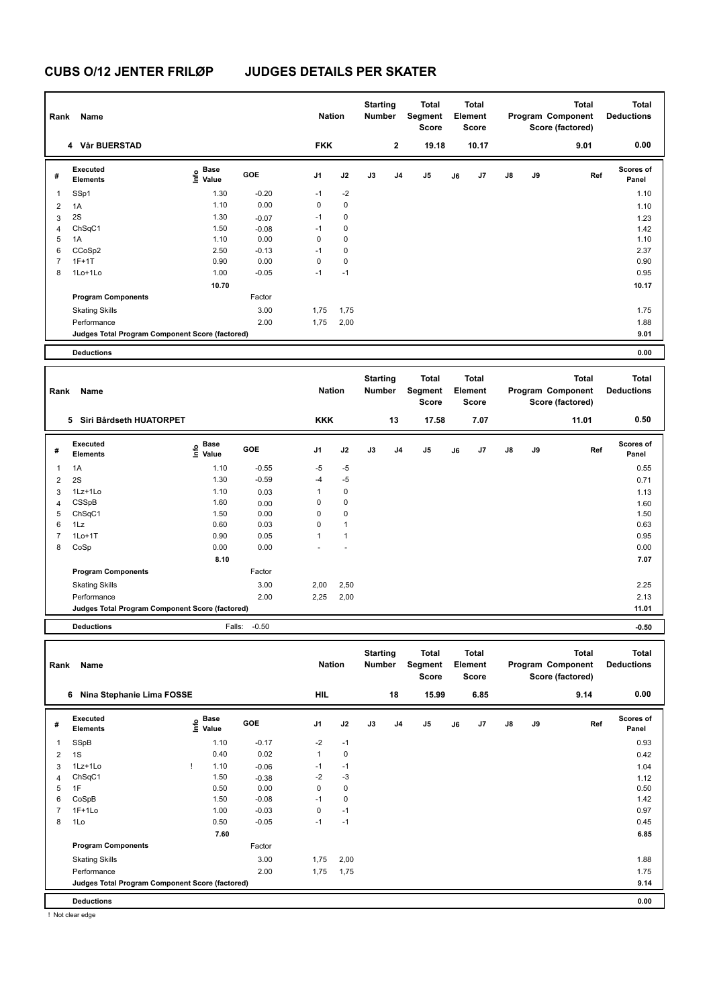| Rank           | Name                                            |                                           |              | <b>Nation</b> |              | <b>Starting</b><br>Number        |             | Total<br>Segment<br><b>Score</b> |    | Total<br>Element<br>Score        |    |    | Total<br>Program Component<br>Score (factored)        | <b>Total</b><br><b>Deductions</b> |
|----------------|-------------------------------------------------|-------------------------------------------|--------------|---------------|--------------|----------------------------------|-------------|----------------------------------|----|----------------------------------|----|----|-------------------------------------------------------|-----------------------------------|
|                | 4 Vår BUERSTAD                                  |                                           |              | <b>FKK</b>    |              |                                  | $\mathbf 2$ | 19.18                            |    | 10.17                            |    |    | 9.01                                                  | 0.00                              |
| #              | Executed<br><b>Elements</b>                     | $\frac{e}{E}$ Base<br>$\frac{e}{E}$ Value | GOE          | J1            | J2           | J3                               | J4          | J5                               | J6 | J7                               | J8 | J9 | Ref                                                   | <b>Scores of</b><br>Panel         |
| 1              | SSp1                                            | 1.30                                      | $-0.20$      | $-1$          | $-2$         |                                  |             |                                  |    |                                  |    |    |                                                       | 1.10                              |
| 2              | 1A                                              | 1.10                                      | 0.00         | 0             | $\pmb{0}$    |                                  |             |                                  |    |                                  |    |    |                                                       | 1.10                              |
| 3              | 2S                                              | 1.30                                      | $-0.07$      | $-1$          | 0            |                                  |             |                                  |    |                                  |    |    |                                                       | 1.23                              |
| 4              | ChSqC1                                          | 1.50                                      | $-0.08$      | $-1$          | $\mathbf 0$  |                                  |             |                                  |    |                                  |    |    |                                                       | 1.42                              |
| 5              | 1A                                              | 1.10                                      | 0.00         | $\mathbf 0$   | $\mathbf 0$  |                                  |             |                                  |    |                                  |    |    |                                                       | 1.10                              |
| 6              | CCoSp2                                          | 2.50                                      | $-0.13$      | $-1$          | $\mathbf 0$  |                                  |             |                                  |    |                                  |    |    |                                                       | 2.37                              |
| 7              | $1F+1T$                                         | 0.90                                      | 0.00         | $\mathbf 0$   | $\pmb{0}$    |                                  |             |                                  |    |                                  |    |    |                                                       | 0.90                              |
| 8              | 1Lo+1Lo                                         | 1.00                                      | $-0.05$      | $-1$          | $-1$         |                                  |             |                                  |    |                                  |    |    |                                                       | 0.95                              |
|                |                                                 | 10.70                                     |              |               |              |                                  |             |                                  |    |                                  |    |    |                                                       | 10.17                             |
|                | <b>Program Components</b>                       |                                           | Factor       |               |              |                                  |             |                                  |    |                                  |    |    |                                                       |                                   |
|                | <b>Skating Skills</b>                           |                                           | 3.00         | 1,75          | 1,75         |                                  |             |                                  |    |                                  |    |    |                                                       | 1.75                              |
|                | Performance                                     |                                           | 2.00         | 1,75          | 2,00         |                                  |             |                                  |    |                                  |    |    |                                                       | 1.88                              |
|                | Judges Total Program Component Score (factored) |                                           |              |               |              |                                  |             |                                  |    |                                  |    |    |                                                       | 9.01                              |
|                | <b>Deductions</b>                               |                                           |              |               |              |                                  |             |                                  |    |                                  |    |    |                                                       | 0.00                              |
|                |                                                 |                                           |              |               |              |                                  |             |                                  |    |                                  |    |    |                                                       |                                   |
| Rank           | Name                                            |                                           |              | <b>Nation</b> |              | <b>Starting</b><br><b>Number</b> |             | Total<br>Segment<br><b>Score</b> |    | Total<br>Element<br><b>Score</b> |    |    | <b>Total</b><br>Program Component<br>Score (factored) | <b>Total</b><br><b>Deductions</b> |
|                | 5 Siri Bårdseth HUATORPET                       |                                           |              | <b>KKK</b>    |              |                                  | 13          | 17.58                            |    | 7.07                             |    |    | 11.01                                                 | 0.50                              |
|                |                                                 |                                           |              |               |              |                                  |             |                                  |    |                                  |    |    |                                                       |                                   |
|                |                                                 |                                           |              |               |              |                                  |             |                                  |    |                                  |    |    |                                                       |                                   |
| #              | Executed<br><b>Elements</b>                     | e Base<br>⊆ Value                         | GOE          | J1            | J2           | J3                               | J4          | J5                               | J6 | J7                               | J8 | J9 | Ref                                                   | Scores of<br>Panel                |
| 1              | 1A                                              | 1.10                                      | $-0.55$      | -5            | $-5$         |                                  |             |                                  |    |                                  |    |    |                                                       | 0.55                              |
| 2              | 2S                                              | 1.30                                      | $-0.59$      | $-4$          | $-5$         |                                  |             |                                  |    |                                  |    |    |                                                       | 0.71                              |
| 3              | 1Lz+1Lo                                         | 1.10                                      | 0.03         | 1             | $\pmb{0}$    |                                  |             |                                  |    |                                  |    |    |                                                       | 1.13                              |
| 4              | CSSpB                                           | 1.60                                      | 0.00         | 0             | 0            |                                  |             |                                  |    |                                  |    |    |                                                       | 1.60                              |
| 5              | ChSqC1                                          | 1.50                                      | 0.00         | 0             | $\pmb{0}$    |                                  |             |                                  |    |                                  |    |    |                                                       | 1.50                              |
| 6              | 1Lz                                             | 0.60                                      | 0.03         | 0             | $\mathbf{1}$ |                                  |             |                                  |    |                                  |    |    |                                                       | 0.63                              |
| $\overline{7}$ | $1Lo+1T$                                        | 0.90                                      | 0.05         | 1             | $\mathbf{1}$ |                                  |             |                                  |    |                                  |    |    |                                                       | 0.95                              |
| 8              | CoSp                                            | 0.00                                      | 0.00         |               |              |                                  |             |                                  |    |                                  |    |    |                                                       | 0.00                              |
|                |                                                 | 8.10                                      |              |               |              |                                  |             |                                  |    |                                  |    |    |                                                       | 7.07                              |
|                | <b>Program Components</b>                       |                                           | Factor       |               |              |                                  |             |                                  |    |                                  |    |    |                                                       |                                   |
|                | <b>Skating Skills</b>                           |                                           | 3.00         | 2,00          | 2,50         |                                  |             |                                  |    |                                  |    |    |                                                       | 2.25                              |
|                | Performance                                     |                                           | 2.00         | 2,25          | 2,00         |                                  |             |                                  |    |                                  |    |    |                                                       | 2.13                              |
|                | Judges Total Program Component Score (factored) |                                           |              |               |              |                                  |             |                                  |    |                                  |    |    |                                                       | 11.01                             |
|                | <b>Deductions</b>                               |                                           | Falls: -0.50 |               |              |                                  |             |                                  |    |                                  |    |    |                                                       | $-0.50$                           |
|                |                                                 |                                           |              |               |              |                                  |             |                                  |    |                                  |    |    |                                                       |                                   |
|                | Rank Name                                       |                                           |              | <b>Nation</b> |              | <b>Starting</b><br><b>Number</b> |             | Total<br>Segment<br>Score        |    | Total<br>Element<br>Score        |    |    | <b>Total</b><br>Program Component<br>Score (factored) | <b>Total</b><br><b>Deductions</b> |
|                | 6 Nina Stephanie Lima FOSSE                     |                                           |              | HIL           |              |                                  | 18          | 15.99                            |    | 6.85                             |    |    | 9.14                                                  | 0.00                              |
| #              | <b>Executed</b><br>Elements                     | $\mathsf{E}$ Base<br>$\mathsf{E}$ Value   | GOE          | J1            | J2           | $\mathsf{J3}$                    | J4          | J5                               | J6 | J7                               | J8 | J9 | Ref                                                   | Scores of<br>Panel                |
| 1              | SSpB                                            | 1.10                                      | $-0.17$      | $-2$          | $-1$         |                                  |             |                                  |    |                                  |    |    |                                                       | 0.93                              |
| 2              | 1S                                              | 0.40                                      | 0.02         | $\mathbf{1}$  | 0            |                                  |             |                                  |    |                                  |    |    |                                                       | 0.42                              |

4 ChSqC1 1.50 -0.38 -2 -3 2.50 -0.38 -2 -3 2.50 1.12 1F 0.50 0.00 0 0 0.50 CoSpB 1.50 -0.08 -1 0 1.42 1F+1Lo 1.00 -0.03 0 -1 0.97 1Lo 0.50 -0.05 -1 -1 0.45

Performance 2.00 1,75 1,75 1.75

**Deductions 0.00 Judges Total Program Component Score (factored) 9.14**

 **7.60 6.85**

1,75 2,00 1.88

! Not clear edge

**Program Components** 

Skating Skills 1,75 2,000

Factor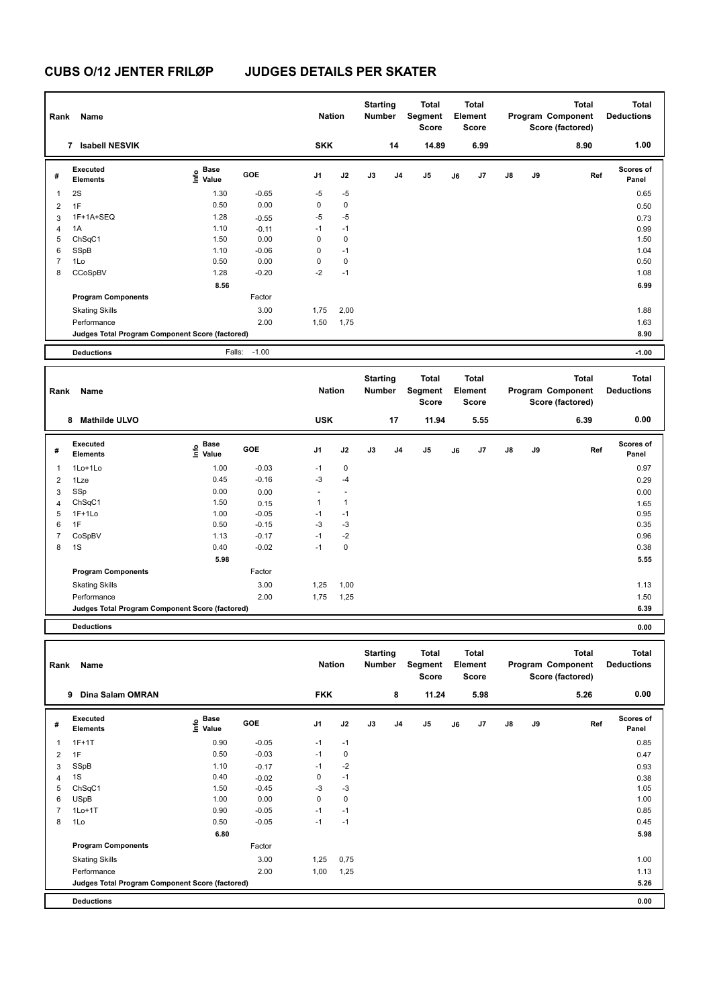| Rank           | <b>Name</b>                                     |                                    |                | <b>Nation</b>          |                   | <b>Starting</b><br><b>Number</b> |                | <b>Total</b><br>Segment<br><b>Score</b> |    | <b>Total</b><br>Element<br><b>Score</b> |               |    | <b>Total</b><br>Program Component<br>Score (factored) | <b>Total</b><br><b>Deductions</b> |
|----------------|-------------------------------------------------|------------------------------------|----------------|------------------------|-------------------|----------------------------------|----------------|-----------------------------------------|----|-----------------------------------------|---------------|----|-------------------------------------------------------|-----------------------------------|
|                | <b>Isabell NESVIK</b><br>$\overline{7}$         |                                    |                | <b>SKK</b>             |                   |                                  | 14             | 14.89                                   |    | 6.99                                    |               |    | 8.90                                                  | 1.00                              |
| #              | Executed<br><b>Elements</b>                     | <b>Base</b><br>e Base<br>E Value   | GOE            | J <sub>1</sub>         | J2                | J3                               | J <sub>4</sub> | J <sub>5</sub>                          | J6 | J7                                      | $\mathsf{J}8$ | J9 | Ref                                                   | <b>Scores of</b><br>Panel         |
| $\overline{1}$ | 2S                                              | 1.30                               | $-0.65$        | $-5$                   | $-5$              |                                  |                |                                         |    |                                         |               |    |                                                       | 0.65                              |
| $\overline{2}$ | 1F                                              | 0.50                               | 0.00           | $\mathbf 0$            | $\pmb{0}$         |                                  |                |                                         |    |                                         |               |    |                                                       | 0.50                              |
| 3              | 1F+1A+SEQ                                       | 1.28                               | $-0.55$        | $-5$                   | $-5$              |                                  |                |                                         |    |                                         |               |    |                                                       | 0.73                              |
| 4              | 1A                                              | 1.10                               | $-0.11$        | $-1$                   | $-1$              |                                  |                |                                         |    |                                         |               |    |                                                       | 0.99                              |
| 5              | ChSqC1                                          | 1.50                               | 0.00           | $\mathbf 0$            | $\mathbf 0$       |                                  |                |                                         |    |                                         |               |    |                                                       | 1.50                              |
| 6              | SSpB                                            | 1.10                               | $-0.06$        | 0                      | $-1$              |                                  |                |                                         |    |                                         |               |    |                                                       | 1.04                              |
| $\overline{7}$ | 1Lo                                             | 0.50                               | 0.00           | $\mathbf 0$            | $\pmb{0}$         |                                  |                |                                         |    |                                         |               |    |                                                       | 0.50                              |
| 8              | CCoSpBV                                         | 1.28                               | $-0.20$        | $-2$                   | $-1$              |                                  |                |                                         |    |                                         |               |    |                                                       | 1.08                              |
|                |                                                 | 8.56                               |                |                        |                   |                                  |                |                                         |    |                                         |               |    |                                                       | 6.99                              |
|                | <b>Program Components</b>                       |                                    | Factor         |                        |                   |                                  |                |                                         |    |                                         |               |    |                                                       |                                   |
|                | <b>Skating Skills</b>                           |                                    | 3.00           | 1,75                   | 2,00              |                                  |                |                                         |    |                                         |               |    |                                                       | 1.88                              |
|                | Performance                                     |                                    | 2.00           | 1,50                   | 1,75              |                                  |                |                                         |    |                                         |               |    |                                                       | 1.63                              |
|                | Judges Total Program Component Score (factored) |                                    |                |                        |                   |                                  |                |                                         |    |                                         |               |    |                                                       | 8.90                              |
|                |                                                 |                                    |                |                        |                   |                                  |                |                                         |    |                                         |               |    |                                                       |                                   |
|                | <b>Deductions</b>                               |                                    | Falls: -1.00   |                        |                   |                                  |                |                                         |    |                                         |               |    |                                                       | $-1.00$                           |
| Rank           | Name                                            |                                    |                | <b>Nation</b>          |                   | <b>Starting</b><br><b>Number</b> |                | <b>Total</b><br>Segment<br><b>Score</b> |    | <b>Total</b><br>Element<br>Score        |               |    | <b>Total</b><br>Program Component<br>Score (factored) | <b>Total</b><br><b>Deductions</b> |
|                | <b>Mathilde ULVO</b><br>8                       |                                    |                | <b>USK</b>             |                   |                                  | 17             | 11.94                                   |    | 5.55                                    |               |    | 6.39                                                  | 0.00                              |
| #              | Executed<br><b>Elements</b><br>1Lo+1Lo          | <b>Base</b><br>۴ê<br>Value<br>1.00 | GOE<br>$-0.03$ | J <sub>1</sub><br>$-1$ | J2<br>$\mathbf 0$ | J3                               | J <sub>4</sub> | J <sub>5</sub>                          | J6 | J7                                      | $\mathsf{J}8$ | J9 | Ref                                                   | <b>Scores of</b><br>Panel<br>0.97 |
| $\mathbf{1}$   |                                                 |                                    |                |                        |                   |                                  |                |                                         |    |                                         |               |    |                                                       |                                   |

| 5 | $1F+1Lo$                                        | 1.00 | $-0.05$ | $-1$ | $-1$        | 0.95 |
|---|-------------------------------------------------|------|---------|------|-------------|------|
| 6 | 1F                                              | 0.50 | $-0.15$ | $-3$ | $-3$        | 0.35 |
|   | CoSpBV                                          | 1.13 | $-0.17$ | -1   | $-2$        | 0.96 |
| 8 | 1S                                              | 0.40 | $-0.02$ | -1   | $\mathbf 0$ | 0.38 |
|   |                                                 | 5.98 |         |      |             | 5.55 |
|   | <b>Program Components</b>                       |      | Factor  |      |             |      |
|   | <b>Skating Skills</b>                           |      | 3.00    | 1,25 | 1,00        | 1.13 |
|   | Performance                                     |      | 2.00    | 1,75 | 1,25        | 1.50 |
|   | Judges Total Program Component Score (factored) |      |         |      |             | 6.39 |
|   | <b>Deductions</b>                               |      |         |      |             | 0.00 |
|   |                                                 |      |         |      |             |      |

2 1Lze 0.45 -0.16 -3 -4 0.29  $3$  SSp  $0.00$   $0.00$   $0.00$   $0.00$   $0.00$   $0.00$   $0.00$   $0.00$   $0.00$   $0.00$   $0.00$   $0.00$   $0.00$   $0.00$   $0.00$   $0.00$   $0.00$   $0.00$   $0.00$   $0.00$   $0.00$   $0.00$   $0.00$   $0.00$   $0.00$   $0.00$   $0.00$   $0.00$   $0.00$   $0.00$   $0.$ 4 ChSqC1 1.50 0.15 1 1 1.65

| Rank | Name                                            |                   |         | <b>Nation</b>  |             | <b>Starting</b><br>Number |                | <b>Total</b><br>Segment<br>Score |    | <b>Total</b><br>Element<br><b>Score</b> |               |    | Total<br>Program Component<br>Score (factored) | <b>Total</b><br><b>Deductions</b> |
|------|-------------------------------------------------|-------------------|---------|----------------|-------------|---------------------------|----------------|----------------------------------|----|-----------------------------------------|---------------|----|------------------------------------------------|-----------------------------------|
|      | <b>Dina Salam OMRAN</b><br>9                    |                   |         | <b>FKK</b>     |             |                           | 8              | 11.24                            |    | 5.98                                    |               |    | 5.26                                           | 0.00                              |
| #    | Executed<br><b>Elements</b>                     | e Base<br>E Value | GOE     | J <sub>1</sub> | J2          | J3                        | J <sub>4</sub> | J5                               | J6 | J7                                      | $\mathsf{J}8$ | J9 | Ref                                            | <b>Scores of</b><br>Panel         |
| 1    | $1F+1T$                                         | 0.90              | $-0.05$ | $-1$           | $-1$        |                           |                |                                  |    |                                         |               |    |                                                | 0.85                              |
| 2    | 1F                                              | 0.50              | $-0.03$ | $-1$           | 0           |                           |                |                                  |    |                                         |               |    |                                                | 0.47                              |
| 3    | SSpB                                            | 1.10              | $-0.17$ | $-1$           | $-2$        |                           |                |                                  |    |                                         |               |    |                                                | 0.93                              |
| 4    | 1S                                              | 0.40              | $-0.02$ | 0              | $-1$        |                           |                |                                  |    |                                         |               |    |                                                | 0.38                              |
| 5    | ChSqC1                                          | 1.50              | $-0.45$ | $-3$           | $-3$        |                           |                |                                  |    |                                         |               |    |                                                | 1.05                              |
| 6    | <b>USpB</b>                                     | 1.00              | 0.00    | $\mathbf 0$    | $\mathbf 0$ |                           |                |                                  |    |                                         |               |    |                                                | 1.00                              |
|      | $1Lo+1T$                                        | 0.90              | $-0.05$ | $-1$           | $-1$        |                           |                |                                  |    |                                         |               |    |                                                | 0.85                              |
| 8    | 1Lo                                             | 0.50              | $-0.05$ | $-1$           | $-1$        |                           |                |                                  |    |                                         |               |    |                                                | 0.45                              |
|      |                                                 | 6.80              |         |                |             |                           |                |                                  |    |                                         |               |    |                                                | 5.98                              |
|      | <b>Program Components</b>                       |                   | Factor  |                |             |                           |                |                                  |    |                                         |               |    |                                                |                                   |
|      | <b>Skating Skills</b>                           |                   | 3.00    | 1,25           | 0,75        |                           |                |                                  |    |                                         |               |    |                                                | 1.00                              |
|      | Performance                                     |                   | 2.00    | 1,00           | 1,25        |                           |                |                                  |    |                                         |               |    |                                                | 1.13                              |
|      | Judges Total Program Component Score (factored) |                   |         |                |             |                           |                |                                  |    |                                         |               |    |                                                | 5.26                              |
|      | <b>Deductions</b>                               |                   |         |                |             |                           |                |                                  |    |                                         |               |    |                                                | 0.00                              |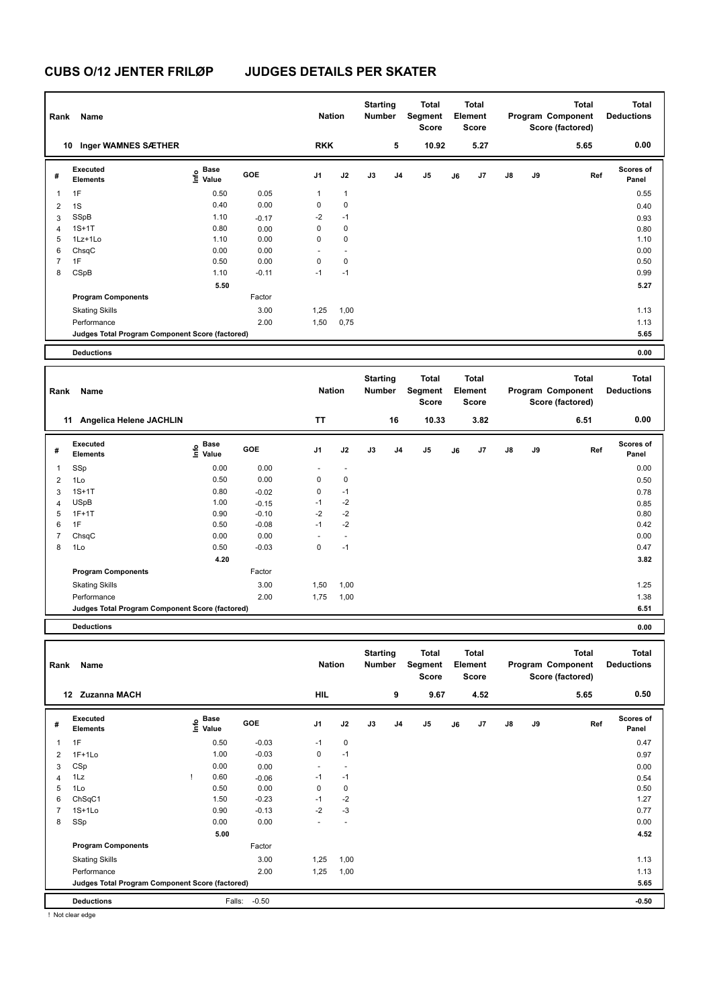| Rank           | Name                                            |                                           |         | <b>Nation</b>       |                | <b>Starting</b><br>Number        |                | <b>Total</b><br>Segment<br><b>Score</b> |    | <b>Total</b><br>Element<br><b>Score</b> |    |    | <b>Total</b><br>Program Component<br>Score (factored) | <b>Total</b><br><b>Deductions</b> |
|----------------|-------------------------------------------------|-------------------------------------------|---------|---------------------|----------------|----------------------------------|----------------|-----------------------------------------|----|-----------------------------------------|----|----|-------------------------------------------------------|-----------------------------------|
|                | 10 Inger WAMNES SÆTHER                          |                                           |         | <b>RKK</b>          |                |                                  | 5              | 10.92                                   |    | 5.27                                    |    |    | 5.65                                                  | 0.00                              |
| #              | Executed<br><b>Elements</b>                     | $\frac{e}{E}$ Base<br>$\frac{e}{E}$ Value | GOE     | J1                  | J2             | J3                               | J <sub>4</sub> | J5                                      | J6 | J7                                      | J8 | J9 | Ref                                                   | Scores of<br>Panel                |
| 1              | 1F                                              | 0.50                                      | 0.05    | $\mathbf{1}$        | $\mathbf{1}$   |                                  |                |                                         |    |                                         |    |    |                                                       | 0.55                              |
| $\overline{2}$ | 1S                                              | 0.40                                      | 0.00    | $\mathbf 0$         | $\pmb{0}$      |                                  |                |                                         |    |                                         |    |    |                                                       | 0.40                              |
| 3              | SSpB                                            | 1.10                                      | $-0.17$ | $-2$                | $-1$           |                                  |                |                                         |    |                                         |    |    |                                                       | 0.93                              |
| 4              | $1S+1T$                                         | 0.80                                      | 0.00    | $\mathbf 0$         | $\mathbf 0$    |                                  |                |                                         |    |                                         |    |    |                                                       | 0.80                              |
| 5              | 1Lz+1Lo                                         | 1.10                                      | 0.00    | 0                   | $\pmb{0}$      |                                  |                |                                         |    |                                         |    |    |                                                       | 1.10                              |
| 6              | ChsqC                                           | 0.00                                      | 0.00    | $\overline{a}$      | $\overline{a}$ |                                  |                |                                         |    |                                         |    |    |                                                       | 0.00                              |
| $\overline{7}$ | 1F                                              | 0.50                                      | 0.00    | $\mathbf 0$<br>$-1$ | $\mathbf 0$    |                                  |                |                                         |    |                                         |    |    |                                                       | 0.50                              |
| 8              | CSpB                                            | 1.10                                      | $-0.11$ |                     | $-1$           |                                  |                |                                         |    |                                         |    |    |                                                       | 0.99                              |
|                |                                                 | 5.50                                      |         |                     |                |                                  |                |                                         |    |                                         |    |    |                                                       | 5.27                              |
|                | <b>Program Components</b>                       |                                           | Factor  |                     |                |                                  |                |                                         |    |                                         |    |    |                                                       |                                   |
|                | <b>Skating Skills</b>                           |                                           | 3.00    | 1,25                | 1,00           |                                  |                |                                         |    |                                         |    |    |                                                       | 1.13                              |
|                | Performance                                     |                                           | 2.00    | 1,50                | 0,75           |                                  |                |                                         |    |                                         |    |    |                                                       | 1.13                              |
|                | Judges Total Program Component Score (factored) |                                           |         |                     |                |                                  |                |                                         |    |                                         |    |    |                                                       | 5.65                              |
|                | <b>Deductions</b>                               |                                           |         |                     |                |                                  |                |                                         |    |                                         |    |    |                                                       | 0.00                              |
|                |                                                 |                                           |         |                     |                |                                  |                |                                         |    |                                         |    |    |                                                       |                                   |
| Rank           | Name                                            |                                           |         | <b>Nation</b>       |                | <b>Starting</b><br><b>Number</b> |                | <b>Total</b><br>Segment<br><b>Score</b> |    | <b>Total</b><br>Element<br><b>Score</b> |    |    | <b>Total</b><br>Program Component<br>Score (factored) | <b>Total</b><br><b>Deductions</b> |
|                | 11 Angelica Helene JACHLIN                      |                                           |         | <b>TT</b>           |                |                                  | 16             | 10.33                                   |    | 3.82                                    |    |    | 6.51                                                  | 0.00                              |
| #              | Executed<br>Elements                            | e Base<br>E Value                         | GOE     | J1                  | J2             | J3                               | J4             | J5                                      | J6 | J7                                      | J8 | J9 | Ref                                                   | <b>Scores of</b><br>Panel         |
| $\mathbf{1}$   | SSp                                             | 0.00                                      | 0.00    |                     | ÷,             |                                  |                |                                         |    |                                         |    |    |                                                       | 0.00                              |
| $\overline{2}$ | 1Lo                                             | 0.50                                      | 0.00    | $\mathbf 0$         | $\pmb{0}$      |                                  |                |                                         |    |                                         |    |    |                                                       | 0.50                              |
| 3              | $1S+1T$                                         | 0.80                                      | $-0.02$ | $\mathbf 0$         | $-1$           |                                  |                |                                         |    |                                         |    |    |                                                       | 0.78                              |
| $\overline{4}$ | <b>USpB</b>                                     | 1.00                                      | $-0.15$ | $-1$                | $-2$           |                                  |                |                                         |    |                                         |    |    |                                                       | 0.85                              |
| 5              | $1F+1T$                                         | 0.90                                      | $-0.10$ | $-2$                | $-2$           |                                  |                |                                         |    |                                         |    |    |                                                       | 0.80                              |
| 6              | 1F                                              | 0.50                                      | $-0.08$ | $-1$                | $-2$           |                                  |                |                                         |    |                                         |    |    |                                                       | 0.42                              |
| $\overline{7}$ | ChsqC                                           | 0.00                                      | 0.00    | ÷.                  | $\overline{a}$ |                                  |                |                                         |    |                                         |    |    |                                                       | 0.00                              |
| 8              | 1Lo                                             | 0.50                                      | $-0.03$ | $\mathbf 0$         | $-1$           |                                  |                |                                         |    |                                         |    |    |                                                       | 0.47                              |
|                |                                                 | 4.20                                      |         |                     |                |                                  |                |                                         |    |                                         |    |    |                                                       | 3.82                              |
|                | <b>Program Components</b>                       |                                           | Factor  |                     |                |                                  |                |                                         |    |                                         |    |    |                                                       |                                   |
|                | <b>Skating Skills</b>                           |                                           | 3.00    | 1,50                | 1,00           |                                  |                |                                         |    |                                         |    |    |                                                       | 1.25                              |
|                | Performance                                     |                                           | 2.00    | 1,75                | 1,00           |                                  |                |                                         |    |                                         |    |    |                                                       | 1.38                              |
|                | Judges Total Program Component Score (factored) |                                           |         |                     |                |                                  |                |                                         |    |                                         |    |    |                                                       | 6.51                              |
|                | <b>Deductions</b>                               |                                           |         |                     |                |                                  |                |                                         |    |                                         |    |    |                                                       | 0.00                              |

| Rank           | Name                                            |    |                                  |            | <b>Nation</b>            |                          | <b>Starting</b><br>Number |                | <b>Total</b><br>Segment<br><b>Score</b> |    | <b>Total</b><br>Element<br><b>Score</b> |               |    | <b>Total</b><br>Program Component<br>Score (factored) | <b>Total</b><br><b>Deductions</b> |
|----------------|-------------------------------------------------|----|----------------------------------|------------|--------------------------|--------------------------|---------------------------|----------------|-----------------------------------------|----|-----------------------------------------|---------------|----|-------------------------------------------------------|-----------------------------------|
|                | 12 Zuzanna MACH                                 |    |                                  |            | <b>HIL</b>               |                          |                           | 9              | 9.67                                    |    | 4.52                                    |               |    | 5.65                                                  | 0.50                              |
| #              | Executed<br><b>Elements</b>                     |    | <b>Base</b><br>e Base<br>⊆ Value | <b>GOE</b> | J <sub>1</sub>           | J2                       | J3                        | J <sub>4</sub> | J5                                      | J6 | J7                                      | $\mathsf{J}8$ | J9 | Ref                                                   | <b>Scores of</b><br>Panel         |
| 1              | 1F                                              |    | 0.50                             | $-0.03$    | $-1$                     | $\mathbf 0$              |                           |                |                                         |    |                                         |               |    |                                                       | 0.47                              |
| $\overline{2}$ | $1F+1Lo$                                        |    | 1.00                             | $-0.03$    | 0                        | $-1$                     |                           |                |                                         |    |                                         |               |    |                                                       | 0.97                              |
| 3              | CSp                                             |    | 0.00                             | 0.00       | ٠                        | $\overline{\phantom{a}}$ |                           |                |                                         |    |                                         |               |    |                                                       | 0.00                              |
| 4              | 1Lz                                             | -1 | 0.60                             | $-0.06$    | $-1$                     | $-1$                     |                           |                |                                         |    |                                         |               |    |                                                       | 0.54                              |
| 5              | 1Lo                                             |    | 0.50                             | 0.00       | 0                        | 0                        |                           |                |                                         |    |                                         |               |    |                                                       | 0.50                              |
| 6              | ChSqC1                                          |    | 1.50                             | $-0.23$    | $-1$                     | $-2$                     |                           |                |                                         |    |                                         |               |    |                                                       | 1.27                              |
| $\overline{7}$ | $1S+1Lo$                                        |    | 0.90                             | $-0.13$    | $-2$                     | $-3$                     |                           |                |                                         |    |                                         |               |    |                                                       | 0.77                              |
| 8              | SSp                                             |    | 0.00                             | 0.00       | $\overline{\phantom{a}}$ | $\overline{\phantom{a}}$ |                           |                |                                         |    |                                         |               |    |                                                       | 0.00                              |
|                |                                                 |    | 5.00                             |            |                          |                          |                           |                |                                         |    |                                         |               |    |                                                       | 4.52                              |
|                | <b>Program Components</b>                       |    |                                  | Factor     |                          |                          |                           |                |                                         |    |                                         |               |    |                                                       |                                   |
|                | <b>Skating Skills</b>                           |    |                                  | 3.00       | 1,25                     | 1,00                     |                           |                |                                         |    |                                         |               |    |                                                       | 1.13                              |
|                | Performance                                     |    |                                  | 2.00       | 1,25                     | 1,00                     |                           |                |                                         |    |                                         |               |    |                                                       | 1.13                              |
|                | Judges Total Program Component Score (factored) |    |                                  |            |                          |                          |                           |                |                                         |    |                                         |               |    |                                                       | 5.65                              |
|                | <b>Deductions</b>                               |    | Falls:                           | $-0.50$    |                          |                          |                           |                |                                         |    |                                         |               |    |                                                       | $-0.50$                           |
|                | I Not clear edge                                |    |                                  |            |                          |                          |                           |                |                                         |    |                                         |               |    |                                                       |                                   |

! Not clear edge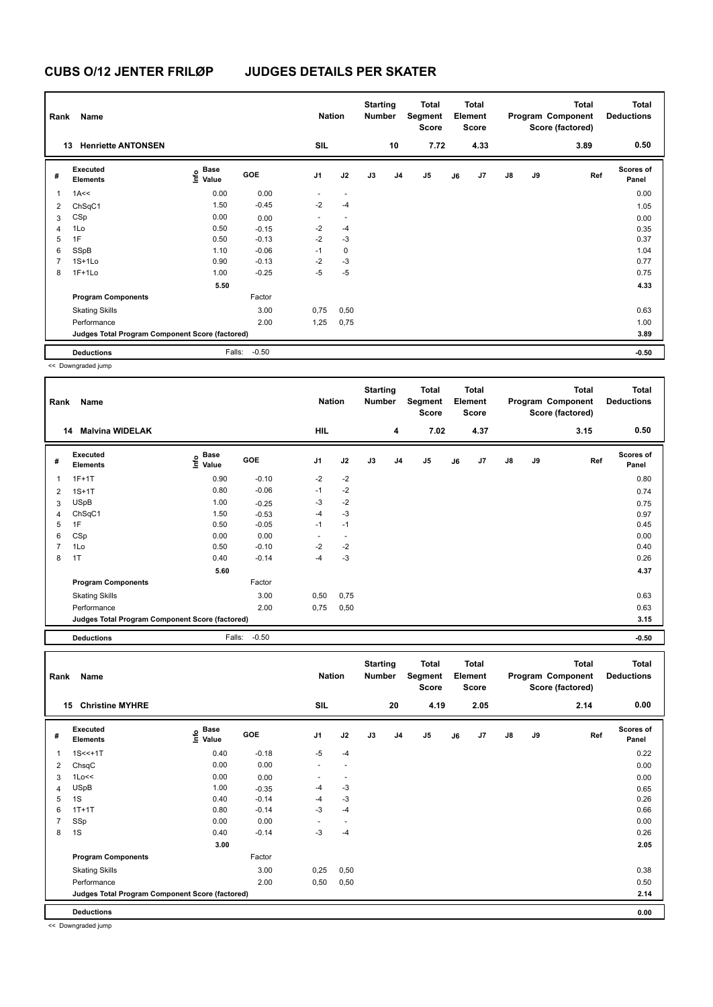| Rank           | Name                                            |                                  |         | <b>Nation</b>  |                          | <b>Starting</b><br><b>Number</b> |                | Total<br>Segment<br><b>Score</b> |    | <b>Total</b><br>Element<br><b>Score</b> |               |    | <b>Total</b><br>Program Component<br>Score (factored) | <b>Total</b><br><b>Deductions</b> |
|----------------|-------------------------------------------------|----------------------------------|---------|----------------|--------------------------|----------------------------------|----------------|----------------------------------|----|-----------------------------------------|---------------|----|-------------------------------------------------------|-----------------------------------|
| 13             | <b>Henriette ANTONSEN</b>                       |                                  |         | <b>SIL</b>     |                          |                                  | 10             | 7.72                             |    | 4.33                                    |               |    | 3.89                                                  | 0.50                              |
| #              | Executed<br><b>Elements</b>                     | <b>Base</b><br>o Base<br>⊆ Value | GOE     | J <sub>1</sub> | J2                       | J3                               | J <sub>4</sub> | J <sub>5</sub>                   | J6 | J7                                      | $\mathsf{J}8$ | J9 | Ref                                                   | Scores of<br>Panel                |
| 1              | 1A<<                                            | 0.00                             | 0.00    |                | $\overline{\phantom{a}}$ |                                  |                |                                  |    |                                         |               |    |                                                       | 0.00                              |
| 2              | ChSqC1                                          | 1.50                             | $-0.45$ | $-2$           | $-4$                     |                                  |                |                                  |    |                                         |               |    |                                                       | 1.05                              |
| 3              | CSp                                             | 0.00                             | 0.00    | ٠              | $\overline{\phantom{a}}$ |                                  |                |                                  |    |                                         |               |    |                                                       | 0.00                              |
| $\overline{4}$ | 1Lo                                             | 0.50                             | $-0.15$ | $-2$           | $-4$                     |                                  |                |                                  |    |                                         |               |    |                                                       | 0.35                              |
| 5              | 1F                                              | 0.50                             | $-0.13$ | $-2$           | $-3$                     |                                  |                |                                  |    |                                         |               |    |                                                       | 0.37                              |
| 6              | SSpB                                            | 1.10                             | $-0.06$ | $-1$           | $\mathbf 0$              |                                  |                |                                  |    |                                         |               |    |                                                       | 1.04                              |
| $\overline{7}$ | $1S+1Lo$                                        | 0.90                             | $-0.13$ | $-2$           | $-3$                     |                                  |                |                                  |    |                                         |               |    |                                                       | 0.77                              |
| 8              | $1F+1Lo$                                        | 1.00                             | $-0.25$ | $-5$           | $-5$                     |                                  |                |                                  |    |                                         |               |    |                                                       | 0.75                              |
|                |                                                 | 5.50                             |         |                |                          |                                  |                |                                  |    |                                         |               |    |                                                       | 4.33                              |
|                | <b>Program Components</b>                       |                                  | Factor  |                |                          |                                  |                |                                  |    |                                         |               |    |                                                       |                                   |
|                | <b>Skating Skills</b>                           |                                  | 3.00    | 0,75           | 0,50                     |                                  |                |                                  |    |                                         |               |    |                                                       | 0.63                              |
|                | Performance                                     |                                  | 2.00    | 1,25           | 0,75                     |                                  |                |                                  |    |                                         |               |    |                                                       | 1.00                              |
|                | Judges Total Program Component Score (factored) |                                  |         |                |                          |                                  |                |                                  |    |                                         |               |    |                                                       | 3.89                              |
|                | <b>Deductions</b>                               | Falls:                           | $-0.50$ |                |                          |                                  |                |                                  |    |                                         |               |    |                                                       | $-0.50$                           |

<< Downgraded jump

| Rank           | Name                                            |                                                          |            | <b>Nation</b>  |      | <b>Starting</b><br>Number |                | Total<br>Segment<br>Score |    | <b>Total</b><br>Element<br><b>Score</b> |               |    | <b>Total</b><br>Program Component<br>Score (factored) | <b>Total</b><br><b>Deductions</b> |
|----------------|-------------------------------------------------|----------------------------------------------------------|------------|----------------|------|---------------------------|----------------|---------------------------|----|-----------------------------------------|---------------|----|-------------------------------------------------------|-----------------------------------|
|                | <b>Malvina WIDELAK</b><br>14                    |                                                          |            | HIL            |      |                           | 4              | 7.02                      |    | 4.37                                    |               |    | 3.15                                                  | 0.50                              |
| #              | Executed<br><b>Elements</b>                     | <b>Base</b><br>$\mathop{\mathsf{Int}}\nolimits$<br>Value | <b>GOE</b> | J <sub>1</sub> | J2   | J3                        | J <sub>4</sub> | J5                        | J6 | J7                                      | $\mathsf{J}8$ | J9 | Ref                                                   | <b>Scores of</b><br>Panel         |
| 1              | $1F+1T$                                         | 0.90                                                     | $-0.10$    | $-2$           | $-2$ |                           |                |                           |    |                                         |               |    |                                                       | 0.80                              |
| 2              | $1S+1T$                                         | 0.80                                                     | $-0.06$    | $-1$           | $-2$ |                           |                |                           |    |                                         |               |    |                                                       | 0.74                              |
| 3              | <b>USpB</b>                                     | 1.00                                                     | $-0.25$    | $-3$           | $-2$ |                           |                |                           |    |                                         |               |    |                                                       | 0.75                              |
| 4              | ChSqC1                                          | 1.50                                                     | $-0.53$    | $-4$           | $-3$ |                           |                |                           |    |                                         |               |    |                                                       | 0.97                              |
| 5              | 1F                                              | 0.50                                                     | $-0.05$    | $-1$           | $-1$ |                           |                |                           |    |                                         |               |    |                                                       | 0.45                              |
| 6              | CSp                                             | 0.00                                                     | 0.00       | ٠              | ٠    |                           |                |                           |    |                                         |               |    |                                                       | 0.00                              |
| $\overline{7}$ | 1Lo                                             | 0.50                                                     | $-0.10$    | $-2$           | $-2$ |                           |                |                           |    |                                         |               |    |                                                       | 0.40                              |
| 8              | 1T                                              | 0.40                                                     | $-0.14$    | $-4$           | $-3$ |                           |                |                           |    |                                         |               |    |                                                       | 0.26                              |
|                |                                                 | 5.60                                                     |            |                |      |                           |                |                           |    |                                         |               |    |                                                       | 4.37                              |
|                | <b>Program Components</b>                       |                                                          | Factor     |                |      |                           |                |                           |    |                                         |               |    |                                                       |                                   |
|                | <b>Skating Skills</b>                           |                                                          | 3.00       | 0,50           | 0,75 |                           |                |                           |    |                                         |               |    |                                                       | 0.63                              |
|                | Performance                                     |                                                          | 2.00       | 0,75           | 0,50 |                           |                |                           |    |                                         |               |    |                                                       | 0.63                              |
|                | Judges Total Program Component Score (factored) |                                                          |            |                |      |                           |                |                           |    |                                         |               |    |                                                       | 3.15                              |
|                | <b>Deductions</b>                               | Falls:                                                   | $-0.50$    |                |      |                           |                |                           |    |                                         |               |    |                                                       | $-0.50$                           |

**Total Deductions Total Program Component Score (factored) Total Element Score Total Segment Score Starting Rank Name Nation Number # Executed Elements Base Value GOE J1 J2 J3 J4 J5 J6 J7 J8 J9 Scores of Panel** 1 0.40 -0.18 -5 -4 **Ref**  1S<<+1T 0.22 **Info 15 Christine MYHRE SIL 20 4.19 2.05 2.14 0.00** 2 ChsqC 0.00 0.00 - - 0.00 3 1Lo<< 0.00 0.00 - - 0.00 4 USpB 1.00 -0.35 -4 -3 0.65 0.65 0.65 5 1S 0.26  $0.40$   $-0.14$   $-4$   $-3$ 6 1T+1T 0.80 -0.14 -3 -4 0.66 7 SSp 0.00 0.00 - - 0.00 8 1S 0.26  $0.40$   $0.14$   $0.3$   $0.4$ **3.00** 2.05 **Program Components**  Skating Skills 6.50 0,25 0,50 Factor 3.00 0.25 0,50 0.38 Performance 2.00 0,50 0,50 0.50 **Deductions 0.00 Judges Total Program Component Score (factored) 2.14**

<< Downgraded jump